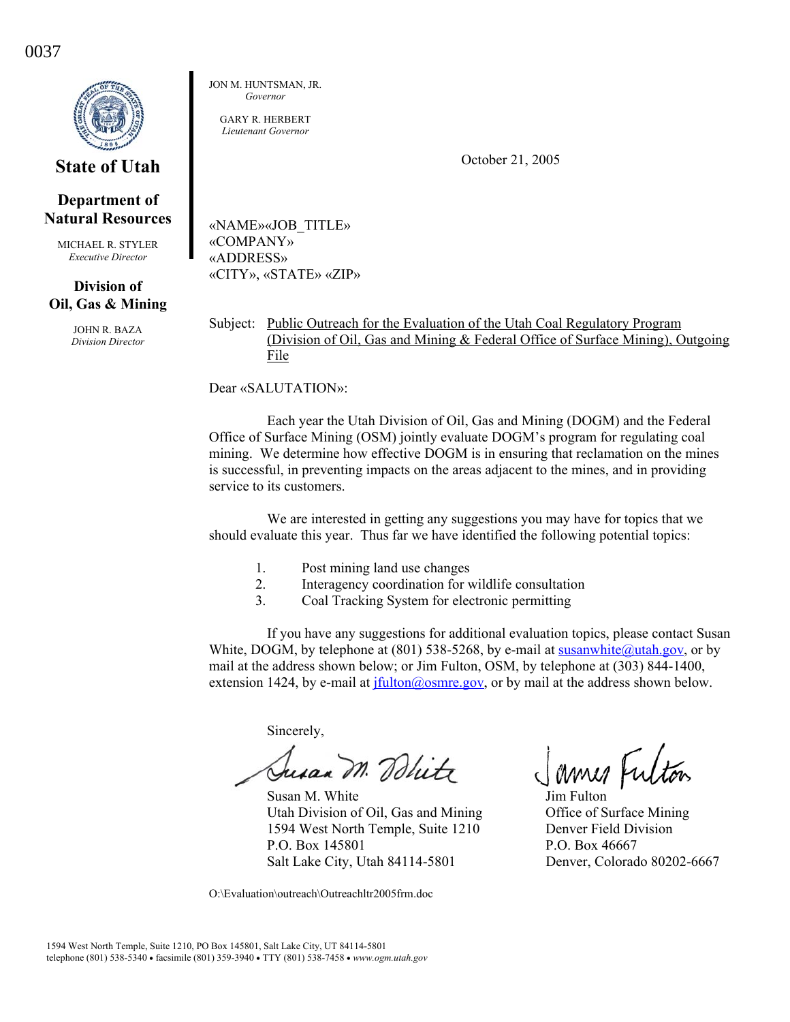0037



**State of Utah** 

## **Department of Natural Resources**

MICHAEL R. STYLER *Executive Director* 

## **Division of Oil, Gas & Mining**

JOHN R. BAZA *Division Director*  JON M. HUNTSMAN, JR. *Governor* 

GARY R. HERBERT *Lieutenant Governor* 

October 21, 2005

«NAME»«JOB\_TITLE» «COMPANY» «ADDRESS» «CITY», «STATE» «ZIP»

Subject: Public Outreach for the Evaluation of the Utah Coal Regulatory Program (Division of Oil, Gas and Mining & Federal Office of Surface Mining), Outgoing File

Dear «SALUTATION»:

Each year the Utah Division of Oil, Gas and Mining (DOGM) and the Federal Office of Surface Mining (OSM) jointly evaluate DOGM's program for regulating coal mining. We determine how effective DOGM is in ensuring that reclamation on the mines is successful, in preventing impacts on the areas adjacent to the mines, and in providing service to its customers.

We are interested in getting any suggestions you may have for topics that we should evaluate this year. Thus far we have identified the following potential topics:

- 1. Post mining land use changes
- 2. Interagency coordination for wildlife consultation
- 3. Coal Tracking System for electronic permitting

If you have any suggestions for additional evaluation topics, please contact Susan White, DOGM, by telephone at (801) 538-5268, by e-mail at susanwhite $\omega$ utah.gov, or by mail at the address shown below; or Jim Fulton, OSM, by telephone at (303) 844-1400, extension 1424, by e-mail at jfulton@osmre.gov, or by mail at the address shown below.

Sincerely,

Jusan M. Dolite

Susan M. White Jim Fulton Utah Division of Oil, Gas and Mining Office of Surface Mining 1594 West North Temple, Suite 1210 Denver Field Division P.O. Box 145801 P.O. Box 46667 Salt Lake City, Utah 84114-5801 Denver, Colorado 80202-6667

O:\Evaluation\outreach\Outreachltr2005frm.doc

James Futon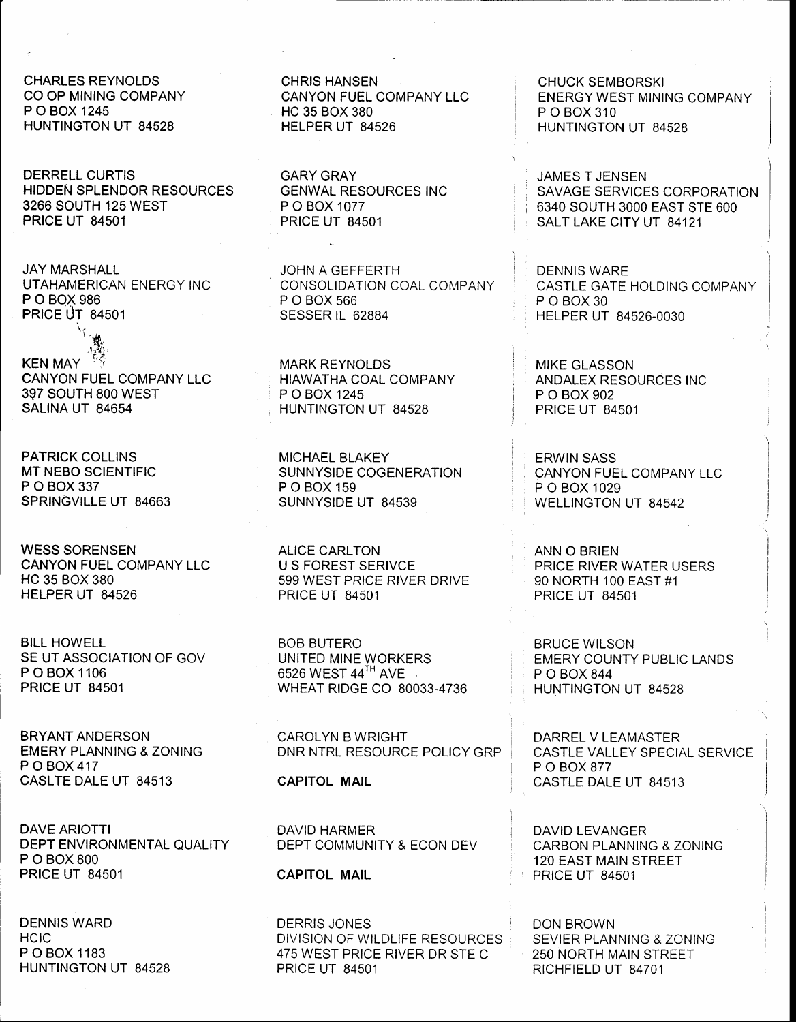CHARLES REYNOLDS CO OP MINING COMPANY P O BOX 1245 HUNTINGTON UT 84528

DERRELL CURTIS HIDDEN SPLENDOR RESOURCES 3266 SOUTH 125 WEST PRICE UT 84501

JAY MARSHALL UTAHAMERICAN ENERGY INC P O BQX 986 **PRICE UT 84501** 

 $L_{\rm eq}$ , KEN MAY CANYON FUEL COMPANY LLC 397 SOUTH 800 WEST SALINA UT 84654

PATRICK COLLINS MT NEBO SCIENTIFIC P O BOX 337 SPRINGVILLE UT 84663

 $\lambda_{\rm T}$ 

WESS SORENSEN CANYON FUEL COMPANY LLC HC 35 BOX 380 HELPER UT 84526

BILL HOWELL SE UT ASSOCIATION OF GOV P O BOX 1106 PRICE UT 84501

BRYANT ANDERSON EMERY PLANNING & ZONING P O BOX 417 CASLTE DALE UT 84513

DAVE ARIOTTI DEPT ENVIRONMENTAL QUALITY P O BOX 800 PRICE UT 84501

DENNIS WARD **HCIC** P O BOX 1183 HUNTINGTON UT 84528

CHRIS HANSEN CANYON FUEL COMPANY LLC HC 35 BOX 380 HELPER UT 84526

GARY GRAY GENWAL RESOURCES INC P O BOX 1077 PRICE UT 84501

JOHN A GEFFERTH CONSOLIDATION COAL COMPANY P O BOX 566 SESSER IL 62884

MARK REYNOLDS HIAWATHA COAL COMPANY P O BOX 1245 HUNTINGTON UT 84528

MICHAEL BLAKEY SUNNYSIDE COGENERATION P O BOX 159 SUNNYSIDE UT 84539

ALICE CARLTON U S FOREST SERIVCE 599 WEST PRICE RIVER DRIVE PRICE UT 84501

BOB BUTERO UNITED MINE WORKERS 6526 WEST 44TH AVE WHEAT RIDGE CO 80033-4736

CAROLYN B WRIGHT DNR NTRL RESOURCE POLICY GRP

CAPITOL MAIL

DAVID HARMER DEPT COMMUNITY & ECON DEV

CAPITOL MAIL

DERRIS JONES DIVISION OF WILDLIFE RESOURCES 475 WEST PRICE RIVER DR STE C PRICE UT 84501

CHUCK SEMBORSKI ENERGY WEST MINING COMPANY P O BOX 310 HUNTINGTON UT 84528

JAMES T JENSEN SAVAGE SERVICES CORPORATION 6340 SOUTH 3OOO EAST STE 600 SALT LAKE CITY UT 84121

DENNIS WARE CASTLE GATE HOLDING COMPANY POBOX<sub>30</sub> HELPER UT 84526.0030

MIKE GLASSON ANDALEX RESOURCES INC P O BOX 902 PRICE UT 84501

ERWIN SASS CANYON FUEL COMPANY LLC P O BOX 1029 WELLINGTON UT 84542

ANN O BRIEN PRICE RIVER WATER USERS 90 NORTH 1OO EAST #1 PRICE UT 84501

BRUCE WILSON EMERY COUNTY PUBLIC LANDS P O BOX 844 HUNTINGTON UT 84528

DARREL V LEAMASTER CASTLE VALLEY SPECIAL SERVICE P O BOX 877 CASTLE DALE UT 84513

DAVID LEVANGER CARBON PLANNING & ZONING 120 EAST MAIN STREET PRICE UT 84501

DON BROWN SEVIER PLANNING & ZONING 250 NORTH MAIN STREET RICHFIELD UT 84701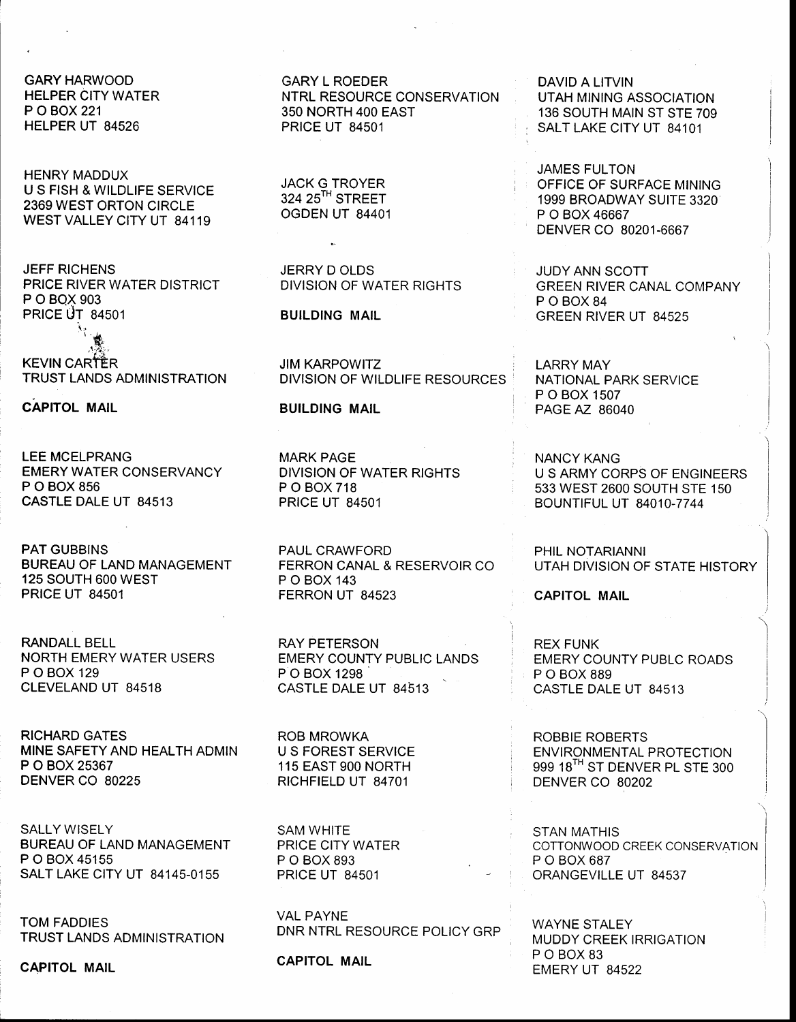**GARY HARWOOD HELPER CITY WATER** P O BOX 221 HELPER UT 84526

**HENRY MADDUX** U S FISH & WILDLIFE SERVICE 2369 WEST ORTON CIRCLE WEST VALLEY CITY UT 84119

**JEFF RICHENS** PRICE RIVER WATER DISTRICT P O BOX 903 **PRICE UT 84501** 

**KEVIN CARTER** TRUST LANDS ADMINISTRATION

**CAPITOL MAIL** 

**LEE MCELPRANG EMERY WATER CONSERVANCY** P O BOX 856 CASTLE DALE UT 84513

**PAT GUBBINS BUREAU OF LAND MANAGEMENT** 125 SOUTH 600 WEST **PRICE UT 84501** 

**RANDALL BELL NORTH EMERY WATER USERS** P O BOX 129 CLEVELAND UT 84518

**RICHARD GATES** MINE SAFETY AND HEALTH ADMIN P O BOX 25367 DENVER CO 80225

**SALLY WISELY BUREAU OF LAND MANAGEMENT** P O BOX 45155 SALT LAKE CITY UT 84145-0155

**TOM FADDIES TRUST LANDS ADMINISTRATION** 

**CAPITOL MAIL** 

**GARY L ROEDER** NTRL RESOURCE CONSERVATION 350 NORTH 400 EAST **PRICE UT 84501** 

**JACK G TROYER** 324 25<sup>TH</sup> STREET OGDEN UT 84401

JERRY DOLDS DIVISION OF WATER RIGHTS

**BUILDING MAIL** 

**JIM KARPOWITZ DIVISION OF WILDLIFE RESOURCES** 

**BUILDING MAIL** 

**MARK PAGE DIVISION OF WATER RIGHTS** P O BOX 718 **PRICE UT 84501** 

PAUL CRAWFORD FERRON CANAL & RESERVOIR CO P O BOX 143 FERRON UT 84523

**RAY PETERSON EMERY COUNTY PUBLIC LANDS** P O BOX 1298 CASTLE DALE UT 84513

**ROB MROWKA U S FOREST SERVICE** 115 EAST 900 NORTH RICHFIELD UT 84701

SAM WHITE PRICE CITY WATER P O BOX 893 **PRICE UT 84501** 

**VAL PAYNE** DNR NTRL RESOURCE POLICY GRP

**CAPITOL MAIL** 

**DAVID A LITVIN UTAH MINING ASSOCIATION** 136 SOUTH MAIN ST STE 709 SALT LAKE CITY UT 84101

**JAMES FULTON** OFFICE OF SURFACE MINING 1999 BROADWAY SUITE 3320 P O BOX 46667 DENVER CO 80201-6667

JUDY ANN SCOTT **GREEN RIVER CANAL COMPANY** POBOX84 GREEN RIVER UT 84525

**LARRY MAY** NATIONAL PARK SERVICE P O BOX 1507 PAGE AZ 86040

**NANCY KANG** U S ARMY CORPS OF ENGINEERS 533 WEST 2600 SOUTH STE 150 **BOUNTIFUL UT 84010-7744** 

PHIL NOTARIANNI UTAH DIVISION OF STATE HISTORY

**CAPITOL MAIL** 

**REX FUNK EMERY COUNTY PUBLC ROADS** P O BOX 889 CASTLE DALE UT 84513

ROBBIE ROBERTS **ENVIRONMENTAL PROTECTION** 999 18TH ST DENVER PL STE 300 DENVER CO 80202

**STAN MATHIS** COTTONWOOD CREEK CONSERVATION P O BOX 687 ORANGEVILLE UT 84537

**WAYNE STALEY MUDDY CREEK IRRIGATION** P O BOX 83 EMERY UT 84522